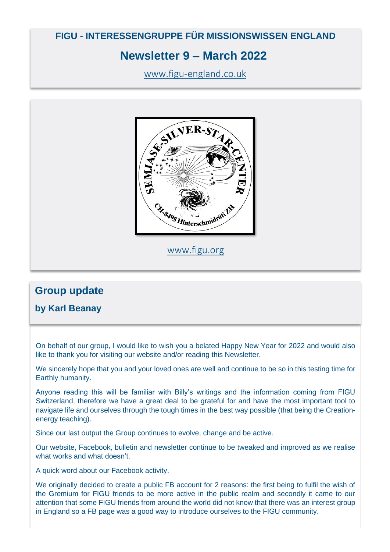## **FIGU - INTERESSENGRUPPE FÜR MISSIONSWISSEN ENGLAND**

## **Newsletter 9 – March 2022**

[www.figu-england.co.uk](http://www.figu-england.co.uk/)



[www.figu.org](http://www.figu.org/)

# **Group update**

### **by Karl Beanay**

On behalf of our group, I would like to wish you a belated Happy New Year for 2022 and would also like to thank you for visiting our website and/or reading this Newsletter.

We sincerely hope that you and your loved ones are well and continue to be so in this testing time for Earthly humanity.

Anyone reading this will be familiar with Billy's writings and the information coming from FIGU Switzerland, therefore we have a great deal to be grateful for and have the most important tool to navigate life and ourselves through the tough times in the best way possible (that being the Creationenergy teaching).

Since our last output the Group continues to evolve, change and be active.

Our website, Facebook, bulletin and newsletter continue to be tweaked and improved as we realise what works and what doesn't.

A quick word about our Facebook activity.

We originally decided to create a public FB account for 2 reasons: the first being to fulfil the wish of the Gremium for FIGU friends to be more active in the public realm and secondly it came to our attention that some FIGU friends from around the world did not know that there was an interest group in England so a FB page was a good way to introduce ourselves to the FIGU community.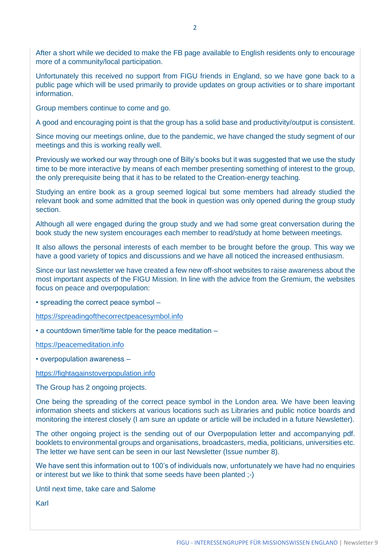After a short while we decided to make the FB page available to English residents only to encourage more of a community/local participation.

Unfortunately this received no support from FIGU friends in England, so we have gone back to a public page which will be used primarily to provide updates on group activities or to share important information.

Group members continue to come and go.

A good and encouraging point is that the group has a solid base and productivity/output is consistent.

Since moving our meetings online, due to the pandemic, we have changed the study segment of our meetings and this is working really well.

Previously we worked our way through one of Billy's books but it was suggested that we use the study time to be more interactive by means of each member presenting something of interest to the group, the only prerequisite being that it has to be related to the Creation-energy teaching.

Studying an entire book as a group seemed logical but some members had already studied the relevant book and some admitted that the book in question was only opened during the group study section.

Although all were engaged during the group study and we had some great conversation during the book study the new system encourages each member to read/study at home between meetings.

It also allows the personal interests of each member to be brought before the group. This way we have a good variety of topics and discussions and we have all noticed the increased enthusiasm.

Since our last newsletter we have created a few new off-shoot websites to raise awareness about the most important aspects of the FIGU Mission. In line with the advice from the Gremium, the websites focus on peace and overpopulation:

• spreading the correct peace symbol –

[https://spreadingofthecorrectpeacesymbol.info](https://spreadingofthecorrectpeacesymbol.info/)

• a countdown timer/time table for the peace meditation –

[https://peacemeditation.info](https://peacemeditation.info/)

• overpopulation awareness –

[https://fightagainstoverpopulation.info](https://fightagainstoverpopulation.info/)

The Group has 2 ongoing projects.

One being the spreading of the correct peace symbol in the London area. We have been leaving information sheets and stickers at various locations such as Libraries and public notice boards and monitoring the interest closely (I am sure an update or article will be included in a future Newsletter).

The other ongoing project is the sending out of our Overpopulation letter and accompanying pdf. booklets to environmental groups and organisations, broadcasters, media, politicians, universities etc. The letter we have sent can be seen in our last Newsletter (Issue number 8).

We have sent this information out to 100's of individuals now, unfortunately we have had no enquiries or interest but we like to think that some seeds have been planted ;-)

Until next time, take care and Salome

Karl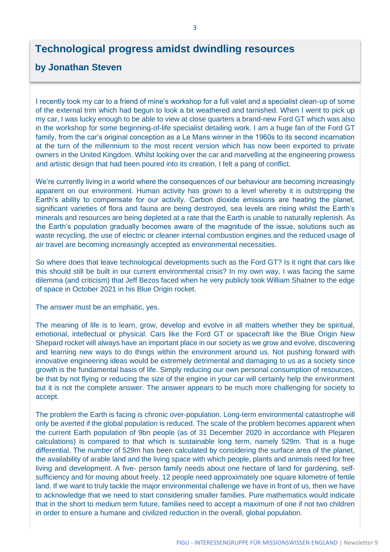## **Technological progress amidst dwindling resources**

### **by Jonathan Steven**

I recently took my car to a friend of mine's workshop for a full valet and a specialist clean-up of some of the external trim which had begun to look a bit weathered and tarnished. When I went to pick up my car, I was lucky enough to be able to view at close quarters a brand-new Ford GT which was also in the workshop for some beginning-of-life specialist detailing work. I am a huge fan of the Ford GT family, from the car's original conception as a Le Mans winner in the 1960s to its second incarnation at the turn of the millennium to the most recent version which has now been exported to private owners in the United Kingdom. Whilst looking over the car and marvelling at the engineering prowess and artistic design that had been poured into its creation, I felt a pang of conflict.

We're currently living in a world where the consequences of our behaviour are becoming increasingly apparent on our environment. Human activity has grown to a level whereby it is outstripping the Earth's ability to compensate for our activity. Carbon dioxide emissions are heating the planet, significant varieties of flora and fauna are being destroyed, sea levels are rising whilst the Earth's minerals and resources are being depleted at a rate that the Earth is unable to naturally replenish. As the Earth's population gradually becomes aware of the magnitude of the issue, solutions such as waste recycling, the use of electric or cleaner internal combustion engines and the reduced usage of air travel are becoming increasingly accepted as environmental necessities.

So where does that leave technological developments such as the Ford GT? Is it right that cars like this should still be built in our current environmental crisis? In my own way, I was facing the same dilemma (and criticism) that Jeff Bezos faced when he very publicly took William Shatner to the edge of space in October 2021 in his Blue Origin rocket.

The answer must be an emphatic, yes.

The meaning of life is to learn, grow, develop and evolve in all matters whether they be spiritual, emotional, intellectual or physical. Cars like the Ford GT or spacecraft like the Blue Origin New Shepard rocket will always have an important place in our society as we grow and evolve, discovering and learning new ways to do things within the environment around us. Not pushing forward with innovative engineering ideas would be extremely detrimental and damaging to us as a society since growth is the fundamental basis of life. Simply reducing our own personal consumption of resources, be that by not flying or reducing the size of the engine in your car will certainly help the environment but it is not the complete answer. The answer appears to be much more challenging for society to accept.

The problem the Earth is facing is chronic over-population. Long-term environmental catastrophe will only be averted if the global population is reduced. The scale of the problem becomes apparent when the current Earth population of 9bn people (as of 31 December 2020 in accordance with Plejaren calculations) is compared to that which is sustainable long term, namely 529m. That is a huge differential. The number of 529m has been calculated by considering the surface area of the planet, the availability of arable land and the living space with which people, plants and animals need for free living and development. A five- person family needs about one hectare of land for gardening, selfsufficiency and for moving about freely. 12 people need approximately one square kilometre of fertile land. If we want to truly tackle the major environmental challenge we have in front of us, then we have to acknowledge that we need to start considering smaller families. Pure mathematics would indicate that in the short to medium term future, families need to accept a maximum of one if not two children in order to ensure a humane and civilized reduction in the overall, global population.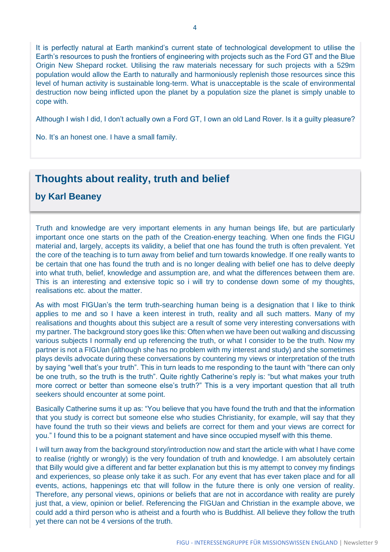Although I wish I did, I don't actually own a Ford GT, I own an old Land Rover. Is it a guilty pleasure?

No. It's an honest one. I have a small family.

## **Thoughts about reality, truth and belief**

### **by Karl Beaney**

Truth and knowledge are very important elements in any human beings life, but are particularly important once one starts on the path of the Creation-energy teaching. When one finds the FIGU material and, largely, accepts its validity, a belief that one has found the truth is often prevalent. Yet the core of the teaching is to turn away from belief and turn towards knowledge. If one really wants to be certain that one has found the truth and is no longer dealing with belief one has to delve deeply into what truth, belief, knowledge and assumption are, and what the differences between them are. This is an interesting and extensive topic so i will try to condense down some of my thoughts, realisations etc. about the matter.

As with most FIGUan's the term truth-searching human being is a designation that I like to think applies to me and so I have a keen interest in truth, reality and all such matters. Many of my realisations and thoughts about this subject are a result of some very interesting conversations with my partner. The background story goes like this: Often when we have been out walking and discussing various subjects I normally end up referencing the truth, or what I consider to be the truth. Now my partner is not a FIGUan (although she has no problem with my interest and study) and she sometimes plays devils advocate during these conversations by countering my views or interpretation of the truth by saying "well that's your truth". This in turn leads to me responding to the taunt with "there can only be one truth, so the truth is the truth". Quite rightly Catherine's reply is: "but what makes your truth more correct or better than someone else's truth?" This is a very important question that all truth seekers should encounter at some point.

Basically Catherine sums it up as: "You believe that you have found the truth and that the information that you study is correct but someone else who studies Christianity, for example, will say that they have found the truth so their views and beliefs are correct for them and your views are correct for you." I found this to be a poignant statement and have since occupied myself with this theme.

I will turn away from the background story/introduction now and start the article with what I have come to realise (rightly or wrongly) is the very foundation of truth and knowledge. I am absolutely certain that Billy would give a different and far better explanation but this is my attempt to convey my findings and experiences, so please only take it as such. For any event that has ever taken place and for all events, actions, happenings etc that will follow in the future there is only one version of reality. Therefore, any personal views, opinions or beliefs that are not in accordance with reality are purely just that, a view, opinion or belief. Referencing the FIGUan and Christian in the example above, we could add a third person who is atheist and a fourth who is Buddhist. All believe they follow the truth yet there can not be 4 versions of the truth.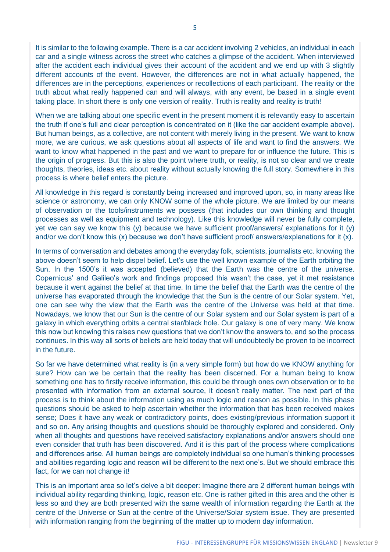It is similar to the following example. There is a car accident involving 2 vehicles, an individual in each car and a single witness across the street who catches a glimpse of the accident. When interviewed after the accident each individual gives their account of the accident and we end up with 3 slightly different accounts of the event. However, the differences are not in what actually happened, the differences are in the perceptions, experiences or recollections of each participant. The reality or the truth about what really happened can and will always, with any event, be based in a single event taking place. In short there is only one version of reality. Truth is reality and reality is truth!

When we are talking about one specific event in the present moment it is relevantly easy to ascertain the truth if one's full and clear perception is concentrated on it (like the car accident example above). But human beings, as a collective, are not content with merely living in the present. We want to know more, we are curious, we ask questions about all aspects of life and want to find the answers. We want to know what happened in the past and we want to prepare for or influence the future. This is the origin of progress. But this is also the point where truth, or reality, is not so clear and we create thoughts, theories, ideas etc. about reality without actually knowing the full story. Somewhere in this process is where belief enters the picture.

All knowledge in this regard is constantly being increased and improved upon, so, in many areas like science or astronomy, we can only KNOW some of the whole picture. We are limited by our means of observation or the tools/instruments we possess (that includes our own thinking and thought processes as well as equipment and technology). Like this knowledge will never be fully complete, yet we can say we know this (y) because we have sufficient proof/answers/ explanations for it (y) and/or we don't know this (x) because we don't have sufficient proof/ answers/explanations for it (x).

In terms of conversation and debates among the everyday folk, scientists, journalists etc. knowing the above doesn't seem to help dispel belief. Let's use the well known example of the Earth orbiting the Sun. In the 1500's it was accepted (believed) that the Earth was the centre of the universe. Copernicus' and Galileo's work and findings proposed this wasn't the case, yet it met resistance because it went against the belief at that time. In time the belief that the Earth was the centre of the universe has evaporated through the knowledge that the Sun is the centre of our Solar system. Yet, one can see why the view that the Earth was the centre of the Universe was held at that time. Nowadays, we know that our Sun is the centre of our Solar system and our Solar system is part of a galaxy in which everything orbits a central star/black hole. Our galaxy is one of very many. We know this now but knowing this raises new questions that we don't know the answers to, and so the process continues. In this way all sorts of beliefs are held today that will undoubtedly be proven to be incorrect in the future.

So far we have determined what reality is (in a very simple form) but how do we KNOW anything for sure? How can we be certain that the reality has been discerned. For a human being to know something one has to firstly receive information, this could be through ones own observation or to be presented with information from an external source, it doesn't really matter. The next part of the process is to think about the information using as much logic and reason as possible. In this phase questions should be asked to help ascertain whether the information that has been received makes sense; Does it have any weak or contradictory points, does existing/previous information support it and so on. Any arising thoughts and questions should be thoroughly explored and considered. Only when all thoughts and questions have received satisfactory explanations and/or answers should one even consider that truth has been discovered. And it is this part of the process where complications and differences arise. All human beings are completely individual so one human's thinking processes and abilities regarding logic and reason will be different to the next one's. But we should embrace this fact, for we can not change it!

This is an important area so let's delve a bit deeper: Imagine there are 2 different human beings with individual ability regarding thinking, logic, reason etc. One is rather gifted in this area and the other is less so and they are both presented with the same wealth of information regarding the Earth at the centre of the Universe or Sun at the centre of the Universe/Solar system issue. They are presented with information ranging from the beginning of the matter up to modern day information.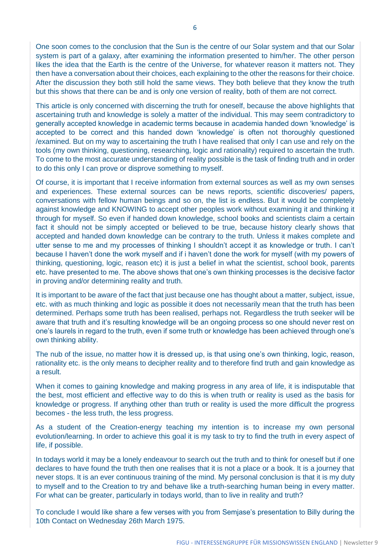One soon comes to the conclusion that the Sun is the centre of our Solar system and that our Solar system is part of a galaxy, after examining the information presented to him/her. The other person likes the idea that the Earth is the centre of the Universe, for whatever reason it matters not. They then have a conversation about their choices, each explaining to the other the reasons for their choice. After the discussion they both still hold the same views. They both believe that they know the truth but this shows that there can be and is only one version of reality, both of them are not correct.

This article is only concerned with discerning the truth for oneself, because the above highlights that ascertaining truth and knowledge is solely a matter of the individual. This may seem contradictory to generally accepted knowledge in academic terms because in academia handed down 'knowledge' is accepted to be correct and this handed down 'knowledge' is often not thoroughly questioned /examined. But on my way to ascertaining the truth I have realised that only I can use and rely on the tools (my own thinking, questioning, researching, logic and rationality) required to ascertain the truth. To come to the most accurate understanding of reality possible is the task of finding truth and in order to do this only I can prove or disprove something to myself.

Of course, it is important that I receive information from external sources as well as my own senses and experiences. These external sources can be news reports, scientific discoveries/ papers, conversations with fellow human beings and so on, the list is endless. But it would be completely against knowledge and KNOWING to accept other peoples work without examining it and thinking it through for myself. So even if handed down knowledge, school books and scientists claim a certain fact it should not be simply accepted or believed to be true, because history clearly shows that accepted and handed down knowledge can be contrary to the truth. Unless it makes complete and utter sense to me and my processes of thinking I shouldn't accept it as knowledge or truth. I can't because I haven't done the work myself and if i haven't done the work for myself (with my powers of thinking, questioning, logic, reason etc) it is just a belief in what the scientist, school book, parents etc. have presented to me. The above shows that one's own thinking processes is the decisive factor in proving and/or determining reality and truth.

It is important to be aware of the fact that just because one has thought about a matter, subject, issue, etc. with as much thinking and logic as possible it does not necessarily mean that the truth has been determined. Perhaps some truth has been realised, perhaps not. Regardless the truth seeker will be aware that truth and it's resulting knowledge will be an ongoing process so one should never rest on one's laurels in regard to the truth, even if some truth or knowledge has been achieved through one's own thinking ability.

The nub of the issue, no matter how it is dressed up, is that using one's own thinking, logic, reason, rationality etc. is the only means to decipher reality and to therefore find truth and gain knowledge as a result.

When it comes to gaining knowledge and making progress in any area of life, it is indisputable that the best, most efficient and effective way to do this is when truth or reality is used as the basis for knowledge or progress. If anything other than truth or reality is used the more difficult the progress becomes - the less truth, the less progress.

As a student of the Creation-energy teaching my intention is to increase my own personal evolution/learning. In order to achieve this goal it is my task to try to find the truth in every aspect of life, if possible.

In todays world it may be a lonely endeavour to search out the truth and to think for oneself but if one declares to have found the truth then one realises that it is not a place or a book. It is a journey that never stops. It is an ever continuous training of the mind. My personal conclusion is that it is my duty to myself and to the Creation to try and behave like a truth-searching human being in every matter. For what can be greater, particularly in todays world, than to live in reality and truth?

To conclude I would like share a few verses with you from Semjase's presentation to Billy during the 10th Contact on Wednesday 26th March 1975.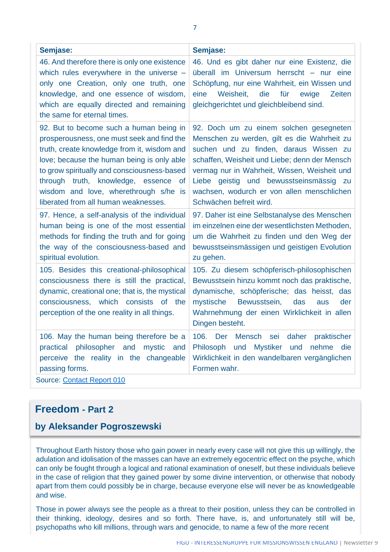| Semjase:                                                                                                                                                                                                                                                                                                                                                   | Semjase:                                                                                                                                                                                                                                                                                                                                                        |
|------------------------------------------------------------------------------------------------------------------------------------------------------------------------------------------------------------------------------------------------------------------------------------------------------------------------------------------------------------|-----------------------------------------------------------------------------------------------------------------------------------------------------------------------------------------------------------------------------------------------------------------------------------------------------------------------------------------------------------------|
| 46. And therefore there is only one existence<br>which rules everywhere in the universe -<br>only one Creation, only one truth, one<br>knowledge, and one essence of wisdom,<br>which are equally directed and remaining<br>the same for eternal times.                                                                                                    | 46. Und es gibt daher nur eine Existenz, die<br>überall im Universum herrscht - nur eine<br>Schöpfung, nur eine Wahrheit, ein Wissen und<br>die<br>eine<br>Weisheit,<br>für<br>ewige<br>Zeiten<br>gleichgerichtet und gleichbleibend sind.                                                                                                                      |
| 92. But to become such a human being in<br>prosperousness, one must seek and find the<br>truth, create knowledge from it, wisdom and<br>love; because the human being is only able<br>to grow spiritually and consciousness-based<br>through truth, knowledge, essence of<br>wisdom and love, wherethrough s/he is<br>liberated from all human weaknesses. | 92. Doch um zu einem solchen gesegneten<br>Menschen zu werden, gilt es die Wahrheit zu<br>suchen und zu finden, daraus Wissen zu<br>schaffen, Weisheit und Liebe; denn der Mensch<br>vermag nur in Wahrheit, Wissen, Weisheit und<br>Liebe geistig und bewusstseinsmässig<br><b>zu</b><br>wachsen, wodurch er von allen menschlichen<br>Schwächen befreit wird. |
| 97. Hence, a self-analysis of the individual<br>human being is one of the most essential<br>methods for finding the truth and for going<br>the way of the consciousness-based and<br>spiritual evolution.                                                                                                                                                  | 97. Daher ist eine Selbstanalyse des Menschen<br>im einzelnen eine der wesentlichsten Methoden,<br>um die Wahrheit zu finden und den Weg der<br>bewusstseinsmässigen und geistigen Evolution<br>zu gehen.                                                                                                                                                       |
| 105. Besides this creational-philosophical<br>consciousness there is still the practical,<br>dynamic, creational one; that is, the mystical<br>consciousness, which consists of the<br>perception of the one reality in all things.                                                                                                                        | 105. Zu diesem schöpferisch-philosophischen<br>Bewusstsein hinzu kommt noch das praktische,<br>dynamische, schöpferische; das heisst, das<br>mystische<br>Bewusstsein,<br>das<br>der<br>aus<br>Wahrnehmung der einen Wirklichkeit in allen<br>Dingen besteht.                                                                                                   |
| 106. May the human being therefore be a<br>practical philosopher and<br>mystic<br>and<br>perceive the reality in the changeable<br>passing forms.<br>Source: Contact Report 010                                                                                                                                                                            | 106.<br>Der<br>Mensch<br>sei<br>daher<br>praktischer<br>und<br>Mystiker und<br>Philosoph<br>nehme<br>die<br>Wirklichkeit in den wandelbaren vergänglichen<br>Formen wahr.                                                                                                                                                                                       |

Source: [Contact Report 010](http://www.futureofmankind.co.uk/Billy_Meier/Contact_Report_010)

## **Freedom - Part 2**

### **by Aleksander Pogroszewski**

Throughout Earth history those who gain power in nearly every case will not give this up willingly, the adulation and idolisation of the masses can have an extremely egocentric effect on the psyche, which can only be fought through a logical and rational examination of oneself, but these individuals believe in the case of religion that they gained power by some divine intervention, or otherwise that nobody apart from them could possibly be in charge, because everyone else will never be as knowledgeable and wise.

Those in power always see the people as a threat to their position, unless they can be controlled in their thinking, ideology, desires and so forth. There have, is, and unfortunately still will be, psychopaths who kill millions, through wars and genocide, to name a few of the more recent

7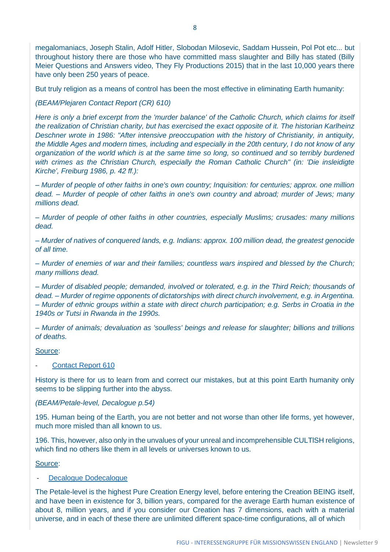megalomaniacs, Joseph Stalin, Adolf Hitler, Slobodan Milosevic, Saddam Hussein, Pol Pot etc... but throughout history there are those who have committed mass slaughter and Billy has stated (Billy Meier Questions and Answers video, They Fly Productions 2015) that in the last 10,000 years there have only been 250 years of peace.

But truly religion as a means of control has been the most effective in eliminating Earth humanity:

*(BEAM/Plejaren Contact Report (CR) 610)* 

*Here is only a brief excerpt from the 'murder balance' of the Catholic Church, which claims for itself the realization of Christian charity, but has exercised the exact opposite of it. The historian Karlheinz Deschner wrote in 1986: "After intensive preoccupation with the history of Christianity, in antiquity, the Middle Ages and modern times, including and especially in the 20th century, I do not know of any organization of the world which is at the same time so long, so continued and so terribly burdened with crimes as the Christian Church, especially the Roman Catholic Church" (in: 'Die insleidigte Kirche', Freiburg 1986, p. 42 ff.):*

*– Murder of people of other faiths in one's own country; Inquisition: for centuries; approx. one million dead. – Murder of people of other faiths in one's own country and abroad; murder of Jews; many millions dead.*

*– Murder of people of other faiths in other countries, especially Muslims; crusades: many millions dead.*

*– Murder of natives of conquered lands, e.g. Indians: approx. 100 million dead, the greatest genocide of all time.*

*– Murder of enemies of war and their families; countless wars inspired and blessed by the Church; many millions dead.*

*– Murder of disabled people; demanded, involved or tolerated, e.g. in the Third Reich; thousands of dead. – Murder of regime opponents of dictatorships with direct church involvement, e.g. in Argentina. – Murder of ethnic groups within a state with direct church participation; e.g. Serbs in Croatia in the 1940s or Tutsi in Rwanda in the 1990s.*

*– Murder of animals; devaluation as 'soulless' beings and release for slaughter; billions and trillions of deaths.*

#### Source:

#### [Contact Report 610](http://www.futureofmankind.co.uk/Billy_Meier/Contact_Report_610)

History is there for us to learn from and correct our mistakes, but at this point Earth humanity only seems to be slipping further into the abyss.

#### *(BEAM/Petale-level, Decalogue p.54)*

195. Human being of the Earth, you are not better and not worse than other life forms, yet however, much more misled than all known to us.

196. This, however, also only in the unvalues of your unreal and incomprehensible CULTlSH religions, which find no others like them in all levels or universes known to us.

#### Source:

#### [Decalogue Dodecalogue](https://shop.figu.org/b%C3%BCcher/decalogue-dodecalogue?language=en)

The Petale-level is the highest Pure Creation Energy level, before entering the Creation BEING itself, and have been in existence for 3, billion years, compared for the average Earth human existence of about 8, million years, and if you consider our Creation has 7 dimensions, each with a material universe, and in each of these there are unlimited different space-time configurations, all of which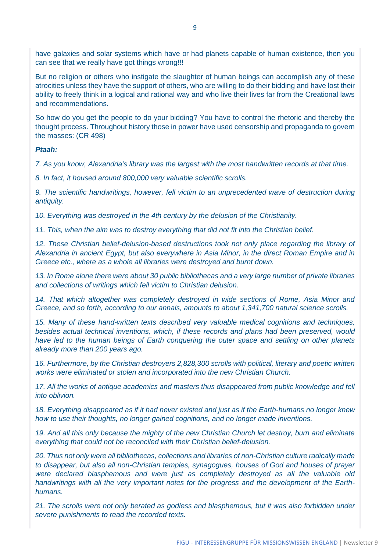have galaxies and solar systems which have or had planets capable of human existence, then you can see that we really have got things wrong!!!

But no religion or others who instigate the slaughter of human beings can accomplish any of these atrocities unless they have the support of others, who are willing to do their bidding and have lost their ability to freely think in a logical and rational way and who live their lives far from the Creational laws and recommendations.

So how do you get the people to do your bidding? You have to control the rhetoric and thereby the thought process. Throughout history those in power have used censorship and propaganda to govern the masses: (CR 498)

*Ptaah:*

*7. As you know, Alexandria's library was the largest with the most handwritten records at that time.*

*8. In fact, it housed around 800,000 very valuable scientific scrolls.*

*9. The scientific handwritings, however, fell victim to an unprecedented wave of destruction during antiquity.*

*10. Everything was destroyed in the 4th century by the delusion of the Christianity.*

*11. This, when the aim was to destroy everything that did not fit into the Christian belief.*

*12. These Christian belief-delusion-based destructions took not only place regarding the library of Alexandria in ancient Egypt, but also everywhere in Asia Minor, in the direct Roman Empire and in Greece etc., where as a whole all libraries were destroyed and burnt down.*

*13. In Rome alone there were about 30 public bibliothecas and a very large number of private libraries and collections of writings which fell victim to Christian delusion.*

14. That which altogether was completely destroyed in wide sections of Rome, Asia Minor and *Greece, and so forth, according to our annals, amounts to about 1,341,700 natural science scrolls.*

*15. Many of these hand-written texts described very valuable medical cognitions and techniques, besides actual technical inventions, which, if these records and plans had been preserved, would have led to the human beings of Earth conquering the outer space and settling on other planets already more than 200 years ago.*

*16. Furthermore, by the Christian destroyers 2,828,300 scrolls with political, literary and poetic written works were eliminated or stolen and incorporated into the new Christian Church.*

17. All the works of antique academics and masters thus disappeared from public knowledge and fell *into oblivion.*

*18. Everything disappeared as if it had never existed and just as if the Earth-humans no longer knew how to use their thoughts, no longer gained cognitions, and no longer made inventions.*

19. And all this only because the mighty of the new Christian Church let destroy, burn and eliminate *everything that could not be reconciled with their Christian belief-delusion.*

*20. Thus not only were all bibliothecas, collections and libraries of non-Christian culture radically made to disappear, but also all non-Christian temples, synagogues, houses of God and houses of prayer were declared blasphemous and were just as completely destroyed as all the valuable old handwritings with all the very important notes for the progress and the development of the Earthhumans.*

*21. The scrolls were not only berated as godless and blasphemous, but it was also forbidden under severe punishments to read the recorded texts.*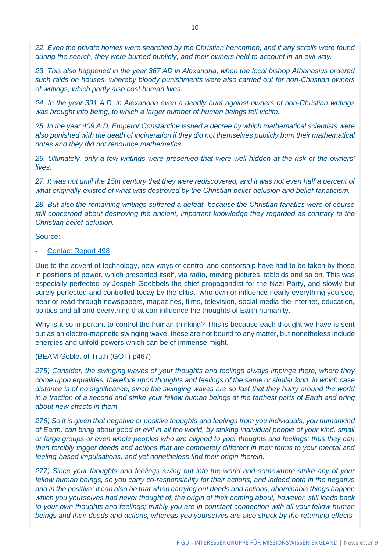22. Even the private homes were searched by the Christian henchmen, and if any scrolls were found *during the search, they were burned publicly, and their owners held to account in an evil way.*

*23. This also happened in the year 367 AD in Alexandria, when the local bishop Athanasius ordered such raids on houses, whereby bloody punishments were also carried out for non-Christian owners of writings, which partly also cost human lives.*

*24. In the year 391 A.D. in Alexandria even a deadly hunt against owners of non-Christian writings was brought into being, to which a larger number of human beings fell victim.*

*25. In the year 409 A.D. Emperor Constantine issued a decree by which mathematical scientists were also punished with the death of incineration if they did not themselves publicly burn their mathematical notes and they did not renounce mathematics.*

*26. Ultimately, only a few writings were preserved that were well hidden at the risk of the owners' lives.*

*27. It was not until the 15th century that they were rediscovered, and it was not even half a percent of what originally existed of what was destroyed by the Christian belief-delusion and belief-fanaticism.*

*28. But also the remaining writings suffered a defeat, because the Christian fanatics were of course still concerned about destroying the ancient, important knowledge they regarded as contrary to the Christian belief-delusion.*

#### Source:

#### [Contact Report 498](http://www.futureofmankind.co.uk/Billy_Meier/Contact_Report_498)

Due to the advent of technology, new ways of control and censorship have had to be taken by those in positions of power, which presented itself, via radio, moving pictures, tabloids and so on. This was especially perfected by Jospeh Goebbels the chief propagandist for the Nazi Party, and slowly but surely perfected and controlled today by the elitist, who own or influence nearly everything you see, hear or read through newspapers, magazines, films, television, social media the internet, education, politics and all and everything that can influence the thoughts of Earth humanity.

Why is it so important to control the human thinking? This is because each thought we have is sent out as an electro-magnetic swinging wave, these are not bound to any matter, but nonetheless include energies and unfold powers which can be of immense might.

#### (BEAM Goblet of Truth (GOT) p467)

*275) Consider, the swinging waves of your thoughts and feelings always impinge there, where they come upon equalities, therefore upon thoughts and feelings of the same or similar kind, in which case distance is of no significance, since the swinging waves are so fast that they hurry around the world in a fraction of a second and strike your fellow human beings at the farthest parts of Earth and bring about new effects in them.* 

*276) So it is given that negative or positive thoughts and feelings from you individuals, you humankind of Earth, can bring about good or evil in all the world, by striking individual people of your kind, small or large groups or even whole peoples who are aligned to your thoughts and feelings; thus they can then forcibly trigger deeds and actions that are completely different in their forms to your mental and feeling-based impulsations, and yet nonetheless find their origin therein.*

*277) Since your thoughts and feelings swing out into the world and somewhere strike any of your fellow human beings, so you carry co-responsibiIity for their actions, and indeed both in the negative and in the positive; it can also be that when carrying out deeds and actions, abominable things happen which you yourselves had never thought of, the origin of their coming about, however, still leads back to your own thoughts and feelings; truthly you are in constant connection with all your fellow human beings and their deeds and actions, whereas you yourselves are also struck by the returning effects*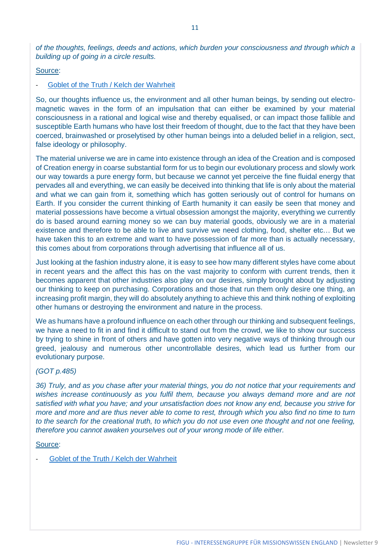*of the thoughts, feelings, deeds and actions, which burden your consciousness and through which a building up of going in a circle results.* 

Source:

#### [Goblet of the Truth / Kelch der Wahrheit](https://shop.figu.org/b%C3%BCcher/goblet-of-the-truth-kelch-der-wahrheit?language=en)

So, our thoughts influence us, the environment and all other human beings, by sending out electromagnetic waves in the form of an impulsation that can either be examined by your material consciousness in a rational and logical wise and thereby equalised, or can impact those fallible and susceptible Earth humans who have lost their freedom of thought, due to the fact that they have been coerced, brainwashed or proselytised by other human beings into a deluded belief in a religion, sect, false ideology or philosophy.

The material universe we are in came into existence through an idea of the Creation and is composed of Creation energy in coarse substantial form for us to begin our evolutionary process and slowly work our way towards a pure energy form, but because we cannot yet perceive the fine fluidal energy that pervades all and everything, we can easily be deceived into thinking that life is only about the material and what we can gain from it, something which has gotten seriously out of control for humans on Earth. If you consider the current thinking of Earth humanity it can easily be seen that money and material possessions have become a virtual obsession amongst the majority, everything we currently do is based around earning money so we can buy material goods, obviously we are in a material existence and therefore to be able to live and survive we need clothing, food, shelter etc… But we have taken this to an extreme and want to have possession of far more than is actually necessary, this comes about from corporations through advertising that influence all of us.

Just looking at the fashion industry alone, it is easy to see how many different styles have come about in recent years and the affect this has on the vast majority to conform with current trends, then it becomes apparent that other industries also play on our desires, simply brought about by adjusting our thinking to keep on purchasing. Corporations and those that run them only desire one thing, an increasing profit margin, they will do absolutely anything to achieve this and think nothing of exploiting other humans or destroying the environment and nature in the process.

We as humans have a profound influence on each other through our thinking and subsequent feelings, we have a need to fit in and find it difficult to stand out from the crowd, we like to show our success by trying to shine in front of others and have gotten into very negative ways of thinking through our greed, jealousy and numerous other uncontrollable desires, which lead us further from our evolutionary purpose.

#### *(GOT p.485)*

*36) Truly, and as you chase after your material things, you do not notice that your requirements and wishes increase continuously as you fulfil them, because you always demand more and are not satisfied with what you have; and your unsatisfaction does not know any end, because you strive for more and more and are thus never able to come to rest, through which you also find no time to turn to the search for the creational truth, to which you do not use even one thought and not one feeling, therefore you cannot awaken yourselves out of your wrong mode of life either.*

#### Source:

[Goblet of the Truth / Kelch der Wahrheit](https://shop.figu.org/b%C3%BCcher/goblet-of-the-truth-kelch-der-wahrheit?language=en)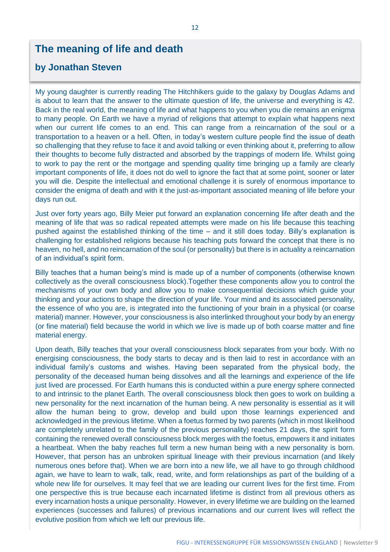## **The meaning of life and death**

### **by Jonathan Steven**

My young daughter is currently reading The Hitchhikers guide to the galaxy by Douglas Adams and is about to learn that the answer to the ultimate question of life, the universe and everything is 42. Back in the real world, the meaning of life and what happens to you when you die remains an enigma to many people. On Earth we have a myriad of religions that attempt to explain what happens next when our current life comes to an end. This can range from a reincarnation of the soul or a transportation to a heaven or a hell. Often, in today's western culture people find the issue of death so challenging that they refuse to face it and avoid talking or even thinking about it, preferring to allow their thoughts to become fully distracted and absorbed by the trappings of modern life. Whilst going to work to pay the rent or the mortgage and spending quality time bringing up a family are clearly important components of life, it does not do well to ignore the fact that at some point, sooner or later you will die. Despite the intellectual and emotional challenge it is surely of enormous importance to consider the enigma of death and with it the just-as-important associated meaning of life before your days run out.

Just over forty years ago, Billy Meier put forward an explanation concerning life after death and the meaning of life that was so radical repeated attempts were made on his life because this teaching pushed against the established thinking of the time – and it still does today. Billy's explanation is challenging for established religions because his teaching puts forward the concept that there is no heaven, no hell, and no reincarnation of the soul (or personality) but there is in actuality a reincarnation of an individual's spirit form.

Billy teaches that a human being's mind is made up of a number of components (otherwise known collectively as the overall consciousness block).Together these components allow you to control the mechanisms of your own body and allow you to make consequential decisions which guide your thinking and your actions to shape the direction of your life. Your mind and its associated personality, the essence of who you are, is integrated into the functioning of your brain in a physical (or coarse material) manner. However, your consciousness is also interlinked throughout your body by an energy (or fine material) field because the world in which we live is made up of both coarse matter and fine material energy.

Upon death, Billy teaches that your overall consciousness block separates from your body. With no energising consciousness, the body starts to decay and is then laid to rest in accordance with an individual family's customs and wishes. Having been separated from the physical body, the personality of the deceased human being dissolves and all the learnings and experience of the life just lived are processed. For Earth humans this is conducted within a pure energy sphere connected to and intrinsic to the planet Earth. The overall consciousness block then goes to work on building a new personality for the next incarnation of the human being. A new personality is essential as it will allow the human being to grow, develop and build upon those learnings experienced and acknowledged in the previous lifetime. When a foetus formed by two parents (which in most likelihood are completely unrelated to the family of the previous personality) reaches 21 days, the spirit form containing the renewed overall consciousness block merges with the foetus, empowers it and initiates a heartbeat. When the baby reaches full term a new human being with a new personality is born. However, that person has an unbroken spiritual lineage with their previous incarnation (and likely numerous ones before that). When we are born into a new life, we all have to go through childhood again, we have to learn to walk, talk, read, write, and form relationships as part of the building of a whole new life for ourselves. It may feel that we are leading our current lives for the first time. From one perspective this is true because each incarnated lifetime is distinct from all previous others as every incarnation hosts a unique personality. However, in every lifetime we are building on the learned experiences (successes and failures) of previous incarnations and our current lives will reflect the evolutive position from which we left our previous life.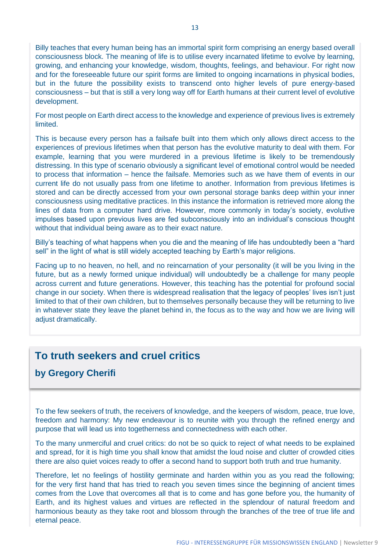Billy teaches that every human being has an immortal spirit form comprising an energy based overall consciousness block. The meaning of life is to utilise every incarnated lifetime to evolve by learning, growing, and enhancing your knowledge, wisdom, thoughts, feelings, and behaviour. For right now and for the foreseeable future our spirit forms are limited to ongoing incarnations in physical bodies, but in the future the possibility exists to transcend onto higher levels of pure energy-based consciousness – but that is still a very long way off for Earth humans at their current level of evolutive development.

For most people on Earth direct access to the knowledge and experience of previous lives is extremely limited.

This is because every person has a failsafe built into them which only allows direct access to the experiences of previous lifetimes when that person has the evolutive maturity to deal with them. For example, learning that you were murdered in a previous lifetime is likely to be tremendously distressing. In this type of scenario obviously a significant level of emotional control would be needed to process that information – hence the failsafe. Memories such as we have them of events in our current life do not usually pass from one lifetime to another. Information from previous lifetimes is stored and can be directly accessed from your own personal storage banks deep within your inner consciousness using meditative practices. In this instance the information is retrieved more along the lines of data from a computer hard drive. However, more commonly in today's society, evolutive impulses based upon previous lives are fed subconsciously into an individual's conscious thought without that individual being aware as to their exact nature.

Billy's teaching of what happens when you die and the meaning of life has undoubtedly been a "hard sell" in the light of what is still widely accepted teaching by Earth's major religions.

Facing up to no heaven, no hell, and no reincarnation of your personality (it will be you living in the future, but as a newly formed unique individual) will undoubtedly be a challenge for many people across current and future generations. However, this teaching has the potential for profound social change in our society. When there is widespread realisation that the legacy of peoples' lives isn't just limited to that of their own children, but to themselves personally because they will be returning to live in whatever state they leave the planet behind in, the focus as to the way and how we are living will adjust dramatically.

## **To truth seekers and cruel critics**

### **by Gregory Cherifi**

To the few seekers of truth, the receivers of knowledge, and the keepers of wisdom, peace, true love, freedom and harmony: My new endeavour is to reunite with you through the refined energy and purpose that will lead us into togetherness and connectedness with each other.

To the many unmerciful and cruel critics: do not be so quick to reject of what needs to be explained and spread, for it is high time you shall know that amidst the loud noise and clutter of crowded cities there are also quiet voices ready to offer a second hand to support both truth and true humanity.

Therefore, let no feelings of hostility germinate and harden within you as you read the following; for the very first hand that has tried to reach you seven times since the beginning of ancient times comes from the Love that overcomes all that is to come and has gone before you, the humanity of Earth, and its highest values and virtues are reflected in the splendour of natural freedom and harmonious beauty as they take root and blossom through the branches of the tree of true life and eternal peace.